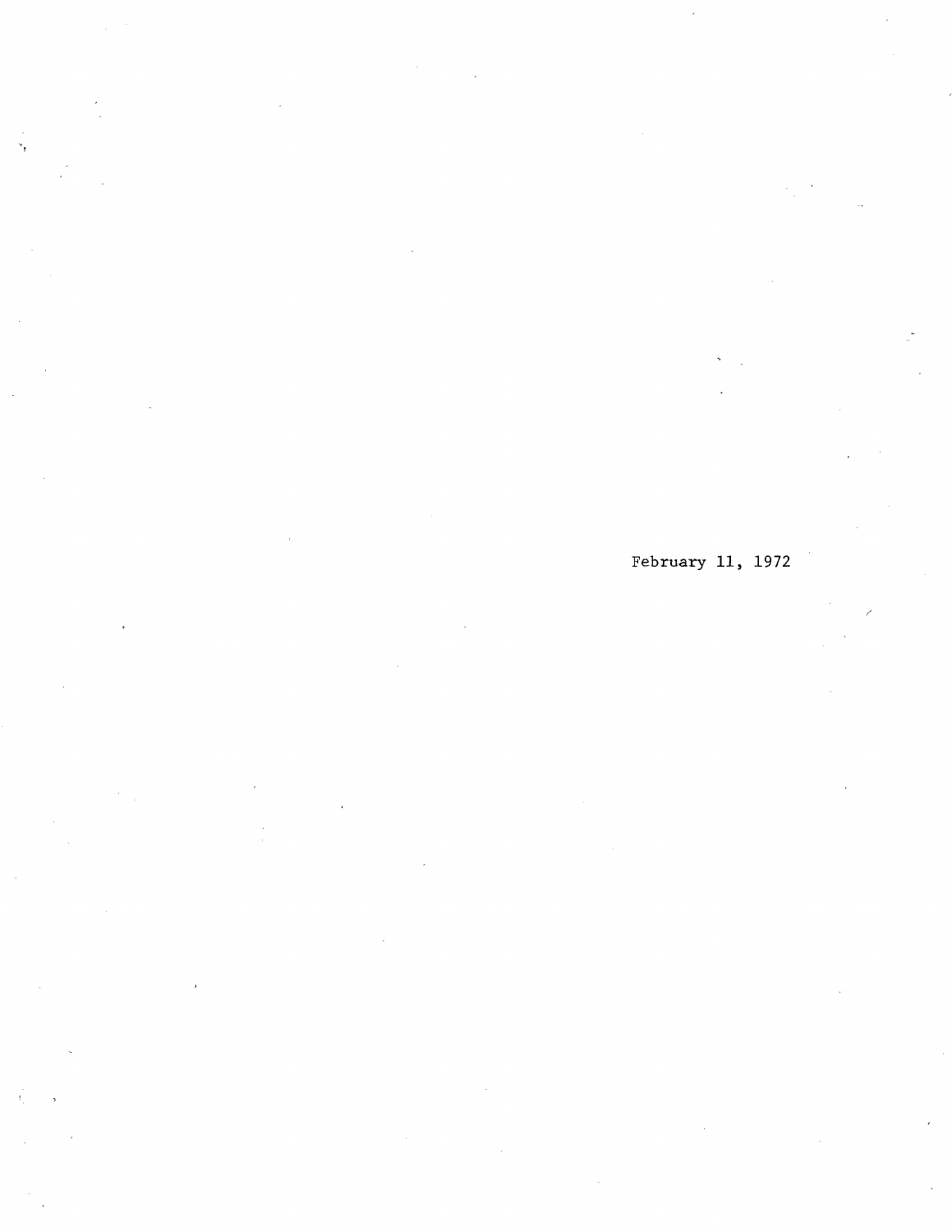## February 11, 1972